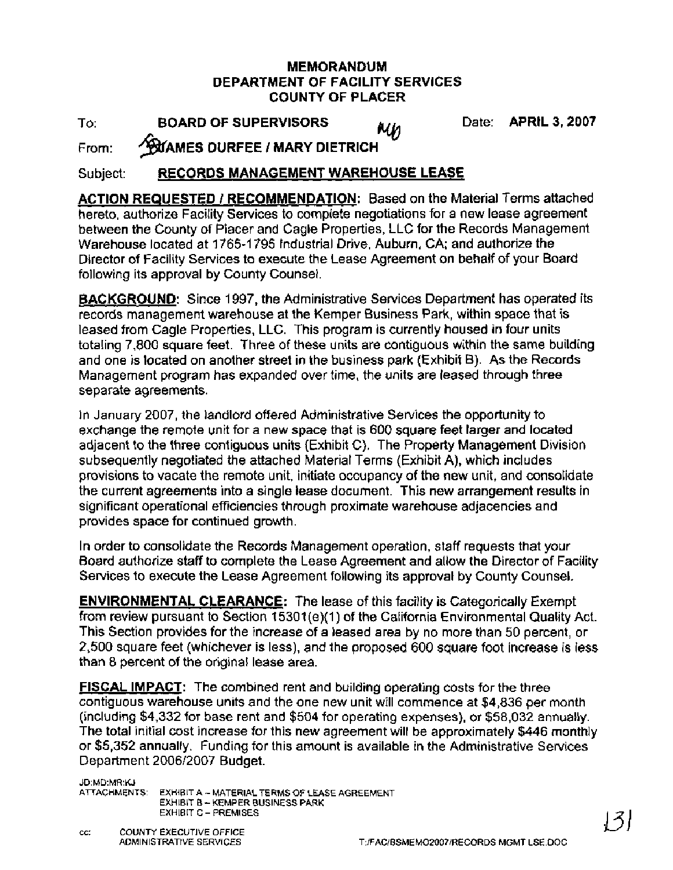#### **MEMORANDUM DEPARTMENT OF FACILITY SERVICES COUNTY OF PLACER**

To: **BOARD OF SUPERVISORS** WW Date: **APRIL 3, 2007**<br>From: **^^**MAMES DURFEE / MARY DIETRICH

## Subject: **RECORDS MANAGEMENT WAREHOUSE LEASE**

**ACTION REQUESTED** I **RECOMMENDATION:** Based on the Material Terms attached hereto, authorize Facility Services to complete negotiations for a new lease agreement between the County of Placer and Cagle Properties, LLC for the Records Management Warehouse located at 1765-1795 Industrial Drive, Auburn, CA; and authorize the Director of Facility Services to execute the Lease Agreement on behalf of your Board following its approval by County Counsel.

**BACKGROUND:** Since 1997, the Administrative Services Department has operated its records management warehouse at the Kemper Business Park, within space that is leased from Cagle Properties, LLC. This program is currently housed in four units totaling 7,800 square feet. Three of these units are contiguous within the same building and one is located on another street in the business park (Exhibit B). As the Records Management program has expanded over time, the units are leased through three separate agreements.

In January 2007, the landlord offered Administrative Services the opportunity to exchange the remote unit for a new space that is 600 square feet larger and located adjacent to the three contiguous units (Exhibit C). The Property Management Division subsequently negotiated the attached Material Terms (Exhibit A), which includes provisions to vacate the remote unit, initiate occupancy of the new unit, and consolidate the current agreements into a single lease document. This new arrangement results in significant operational efficiencies through proximate warehouse adjacencies and provides space for continued growth.

In order to consolidate the Records Management operation, staff requests that your Board authorize staff to complete the Lease Agreement and allow the Director of Facility Services to execute the Lease Agreement following its approval by County Counsel.

**ENVIRONMENTAL CLEARANCE:** The lease of this facility is Categorically Exempt from review pursuant to Section 15301(e)(1) of the California Environmental Quality Act. This Section provides for the increase of a leased area by no more than 50 percent, or 2,500 square feet (whichever is less), and the proposed 600 square foot increase is less than 8 percent of the original lease area.

**FISCAL IMPACT:** The combined rent and building operating costs for the three contiguous warehouse units and the one new unit will commence at \$4,836 per month (including \$4,332 for base rent and \$504 for operating expenses), or \$58,032 annually. The total initial cost increase for this new agreement will be approximately \$446 monthly or \$5,352 annually. Funding for this amount is available in the Administrative Services Department 200612007 Budget.

JD:MD:MR:KJ<br>ATTACHMENTS: EXHIBIT A - MATERIAL TERMS OF LEASE AGREEMENT EXHIBIT B - KEMPER BUSINESS PARK EXHIBIT C - PREMISES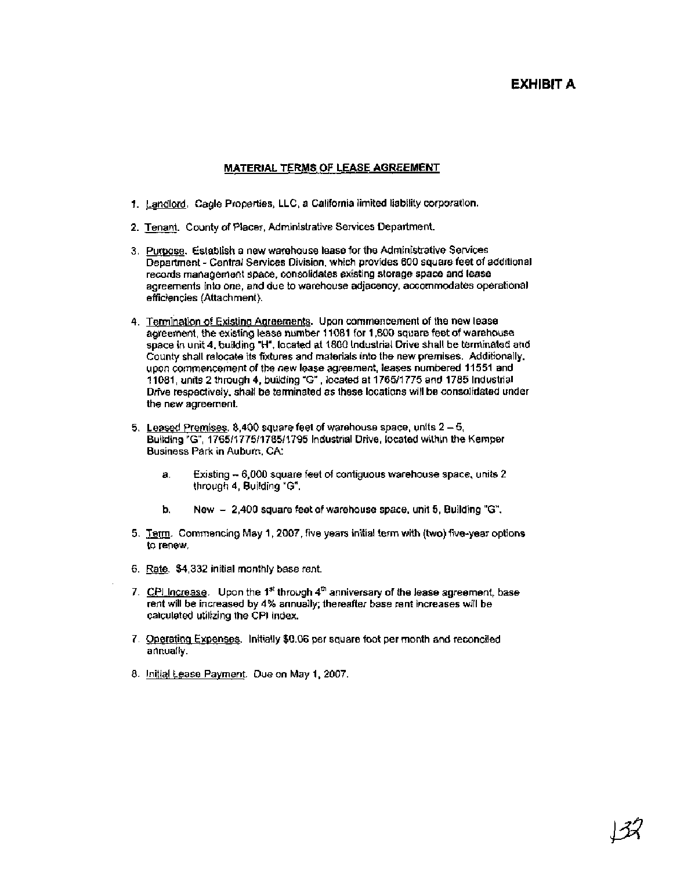#### **EXHIBIT A**

#### **MATERIAL TERMS OF LEASE AGREEMENT**

- 1. Landlord. Cagle Properties, LLC, a California limited liability corporation.
- 2. Tenant. County of Placer, Administrative Services Department.
- 3. Purpose. Establish a new warehouse lease for the Administrative Services Department - Central Services Division, which provides 600 square feet of additional records management space, consolidates existing storage space and lease agreements into one, and due to warehouse adjacency, accommodates operational efficiencies (Attachment).
- 4. Termination of Existing Agreements. Upon commencement of the new lease agreement, the existing lease number 11081 for 1,800 square feet of warehouse space in unit 4, building "H", located at 1800 Industrial Drive shall be terminated and County shall relocate its fixtures and materials into the new premises. Additionally, upon commencement of the new lease agreement, leases numbered 11551 and 1 1081, units 2 through 4, building **"G"** , located at 176511 775 and 1785 Industrial Drive respectively, shall be terminated as these locations will be consolidated under the new agreement.
- 5. Leased Premises. 8,400 square feet of warehouse space, units  $2 5$ , Building "G", 1765/1775/1785/1795 Industrial Drive, located within the Kemper Business Park in Auburn. CA:
	- a, Existing 6,000 square feet of contiguous warehouse space, units 2 through 4, Building **"G".**
	- b. New 2,400 square feet of warehouse space, unit 5, Building **"G".**
- 5. Term. Commencing May 1, 2007, five years initial term with (two) five-year options to renew.
- 6. Rate. \$4,332 initial monthly base rent.
- 7. CPI Increase. Upon the **1''** through 4'" anniversary of the lease agreement, base rent will be increased by 4% annually; thereafter base rent increases will be calculated utilizing the CPI index.
- 7. Ooeratinq Exoenses. Initially \$0.06 per square foot per month and reconciled annually.
- 8. Initial Lease Payment. Due on May 1, 2007.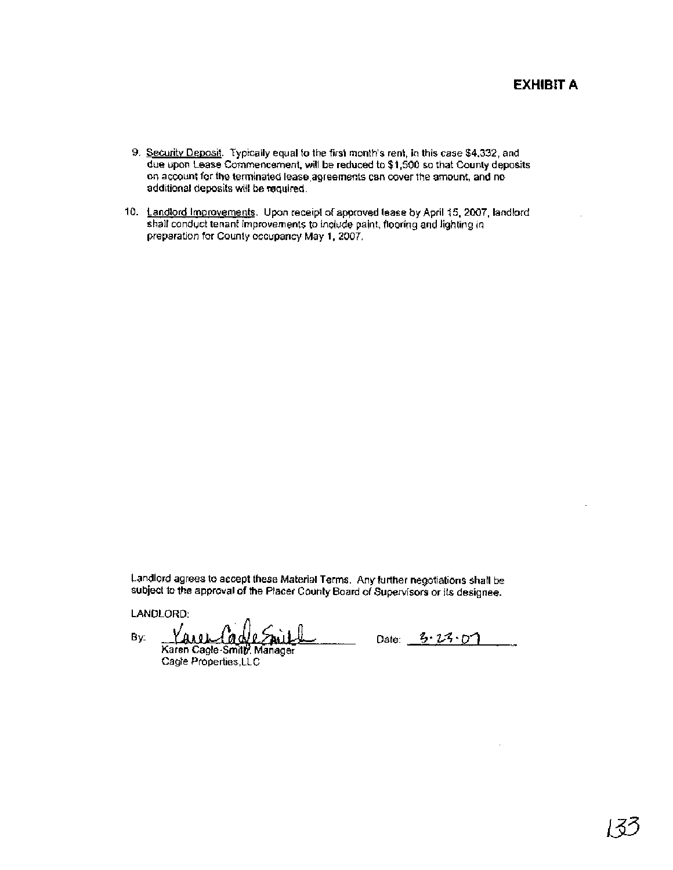### **EXHIBIT A**

- 9. Security Deposit. Typically equal to the first month's rent, in this case \$4,332, and due upon Lease Commencement, will be reduced to \$1,500 so that County deposits **on** account for the terminated lease agreements can **cover** the amount, and no additional deposits will be required.
- 10. Landlord Improvements. Upon receipt of approved lease by April 15, 2007, landlord shall conduct tenant improvements to include paint, flooring and lighting in preparation for County occupancy Nay 1,2007.

Landlord agrees to accept these Material Terms. Any further negotiations shall be subject to the approval of the Placer County Board of Supervisors or its designee.

LANDLORD:

By: Date: **5** ' *2%* ~(1 Cagle Properties, LLC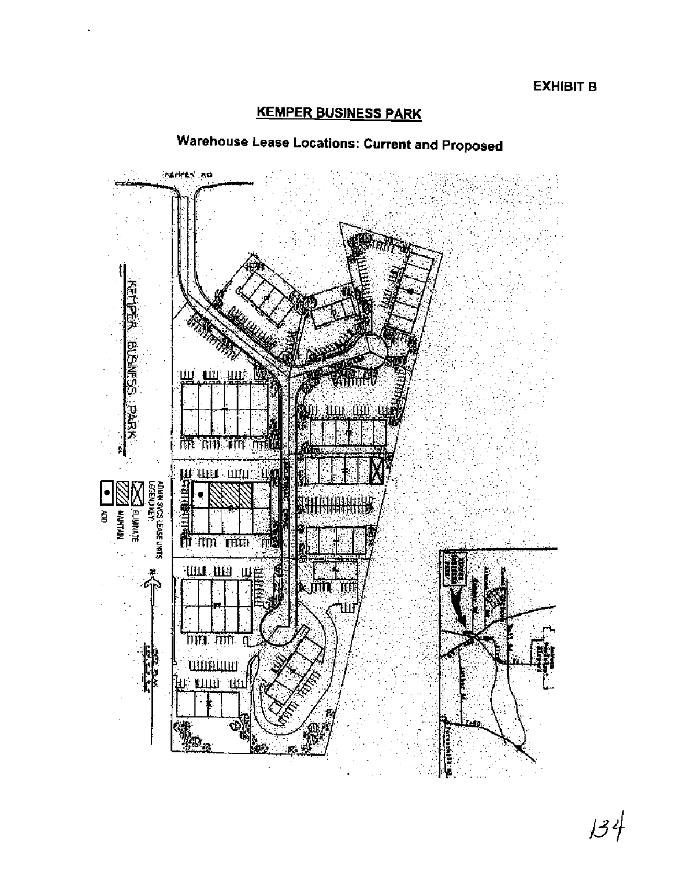## **KEMPER BUSINESS PARK**



# **Warehouse Lease Locations: Current and Proposed**